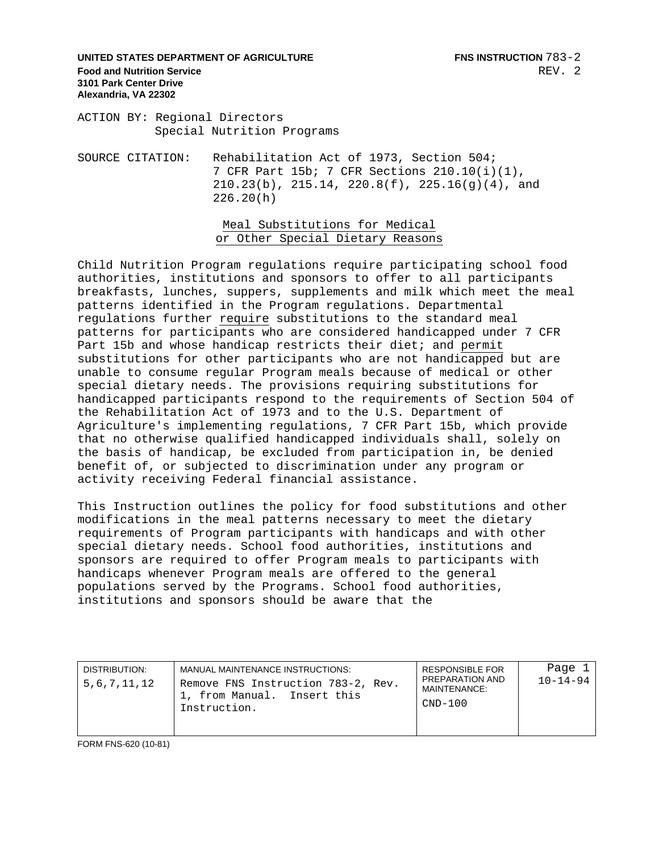### **UNITED STATES DEPARTMENT OF AGRICULTURE FINS INSTRUCTION**  $783-2$ **Food and Nutrition Service 3101 Park Center Drive Alexandria, VA 22302**

ACTION BY: Regional Directors Special Nutrition Programs

SOURCE CITATION: Rehabilitation Act of 1973, Section 504; 7 CFR Part 15b; 7 CFR Sections 210.10(i)(1),  $210.23(b)$ ,  $215.14$ ,  $220.8(f)$ ,  $225.16(g)(4)$ , and 226.20(h)

> Meal Substitutions for Medical or Other Special Dietary Reasons

Child Nutrition Program regulations require participating school food authorities, institutions and sponsors to offer to all participants breakfasts, lunches, suppers, supplements and milk which meet the meal patterns identified in the Program regulations. Departmental regulations further require substitutions to the standard meal patterns for participants who are considered handicapped under 7 CFR Part 15b and whose handicap restricts their diet; and permit substitutions for other participants who are not handicapped but are unable to consume regular Program meals because of medical or other special dietary needs. The provisions requiring substitutions for handicapped participants respond to the requirements of Section 504 of the Rehabilitation Act of 1973 and to the U.S. Department of Agriculture's implementing regulations, 7 CFR Part 15b, which provide that no otherwise qualified handicapped individuals shall, solely on the basis of handicap, be excluded from participation in, be denied benefit of, or subjected to discrimination under any program or activity receiving Federal financial assistance.

This Instruction outlines the policy for food substitutions and other modifications in the meal patterns necessary to meet the dietary requirements of Program participants with handicaps and with other special dietary needs. School food authorities, institutions and sponsors are required to offer Program meals to participants with handicaps whenever Program meals are offered to the general populations served by the Programs. School food authorities, institutions and sponsors should be aware that the

| DISTRIBUTION:<br>5,6,7,11,12 | MANUAL MAINTENANCE INSTRUCTIONS:<br>Remove FNS Instruction 783-2, Rev.<br>1, from Manual. Insert this<br>Instruction. | <b>RESPONSIBLE FOR</b><br>PREPARATION AND<br>MAINTENANCE:<br>$CND-100$ | Page 1<br>$10 - 14 - 94$ |
|------------------------------|-----------------------------------------------------------------------------------------------------------------------|------------------------------------------------------------------------|--------------------------|
|                              |                                                                                                                       |                                                                        |                          |

FORM FNS-620 (10-81)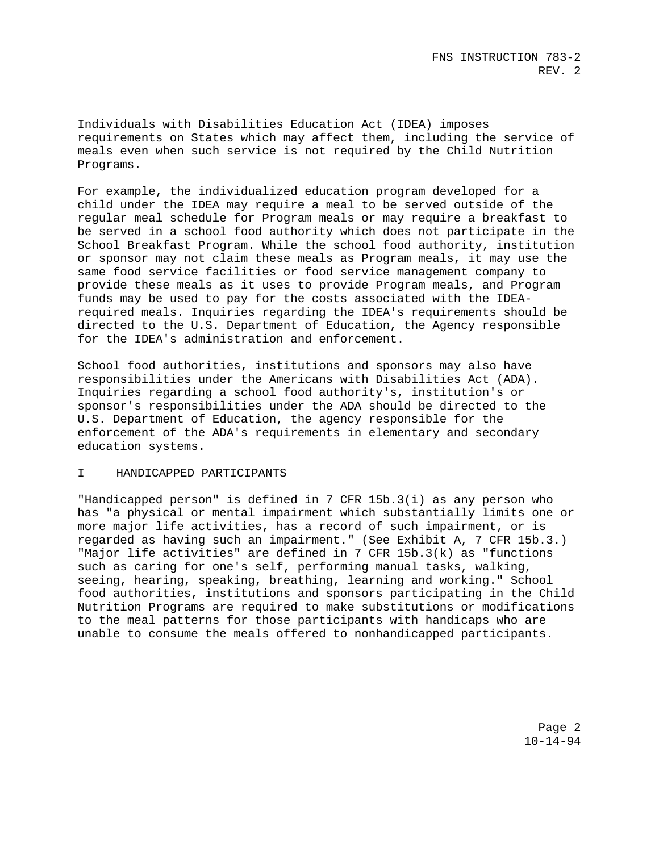Individuals with Disabilities Education Act (IDEA) imposes requirements on States which may affect them, including the service of meals even when such service is not required by the Child Nutrition Programs.

For example, the individualized education program developed for a child under the IDEA may require a meal to be served outside of the regular meal schedule for Program meals or may require a breakfast to be served in a school food authority which does not participate in the School Breakfast Program. While the school food authority, institution or sponsor may not claim these meals as Program meals, it may use the same food service facilities or food service management company to provide these meals as it uses to provide Program meals, and Program funds may be used to pay for the costs associated with the IDEArequired meals. Inquiries regarding the IDEA's requirements should be directed to the U.S. Department of Education, the Agency responsible for the IDEA's administration and enforcement.

School food authorities, institutions and sponsors may also have responsibilities under the Americans with Disabilities Act (ADA). Inquiries regarding a school food authority's, institution's or sponsor's responsibilities under the ADA should be directed to the U.S. Department of Education, the agency responsible for the enforcement of the ADA's requirements in elementary and secondary education systems.

## I HANDICAPPED PARTICIPANTS

"Handicapped person" is defined in 7 CFR 15b.3(i) as any person who has "a physical or mental impairment which substantially limits one or more major life activities, has a record of such impairment, or is regarded as having such an impairment." (See Exhibit A, 7 CFR 15b.3.) "Major life activities" are defined in 7 CFR 15b.3(k) as "functions such as caring for one's self, performing manual tasks, walking, seeing, hearing, speaking, breathing, learning and working." School food authorities, institutions and sponsors participating in the Child Nutrition Programs are required to make substitutions or modifications to the meal patterns for those participants with handicaps who are unable to consume the meals offered to nonhandicapped participants.

> Page 2 10-14-94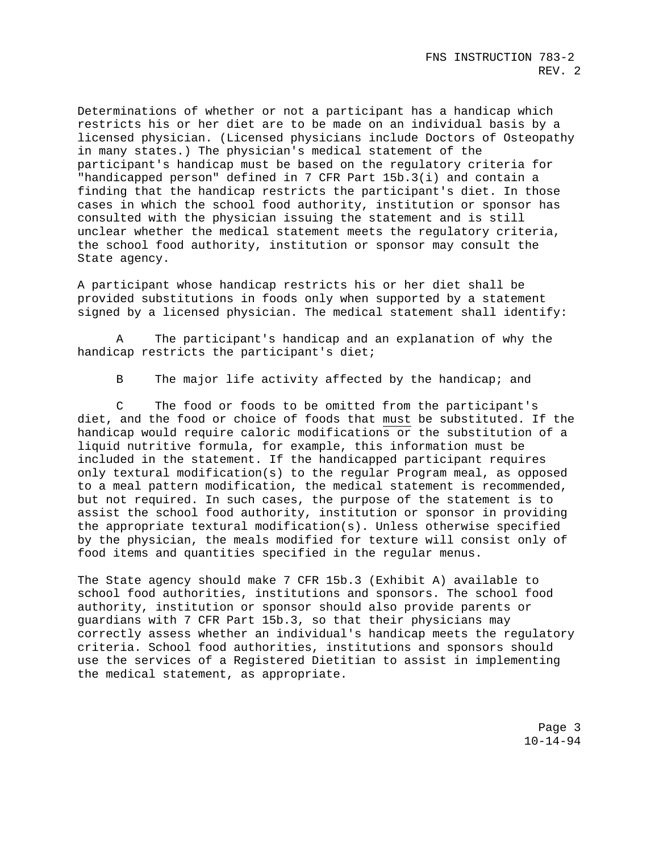Determinations of whether or not a participant has a handicap which restricts his or her diet are to be made on an individual basis by a licensed physician. (Licensed physicians include Doctors of Osteopathy in many states.) The physician's medical statement of the participant's handicap must be based on the regulatory criteria for "handicapped person" defined in 7 CFR Part 15b.3(i) and contain a finding that the handicap restricts the participant's diet. In those cases in which the school food authority, institution or sponsor has consulted with the physician issuing the statement and is still unclear whether the medical statement meets the regulatory criteria, the school food authority, institution or sponsor may consult the State agency.

A participant whose handicap restricts his or her diet shall be provided substitutions in foods only when supported by a statement signed by a licensed physician. The medical statement shall identify:

A The participant's handicap and an explanation of why the handicap restricts the participant's diet;

B The major life activity affected by the handicap; and

C The food or foods to be omitted from the participant's diet, and the food or choice of foods that must be substituted. If the handicap would require caloric modifications or the substitution of a liquid nutritive formula, for example, this information must be included in the statement. If the handicapped participant requires only textural modification(s) to the regular Program meal, as opposed to a meal pattern modification, the medical statement is recommended, but not required. In such cases, the purpose of the statement is to assist the school food authority, institution or sponsor in providing the appropriate textural modification(s). Unless otherwise specified by the physician, the meals modified for texture will consist only of food items and quantities specified in the regular menus.

The State agency should make 7 CFR 15b.3 (Exhibit A) available to school food authorities, institutions and sponsors. The school food authority, institution or sponsor should also provide parents or guardians with 7 CFR Part 15b.3, so that their physicians may correctly assess whether an individual's handicap meets the regulatory criteria. School food authorities, institutions and sponsors should use the services of a Registered Dietitian to assist in implementing the medical statement, as appropriate.

> Page 3 10-14-94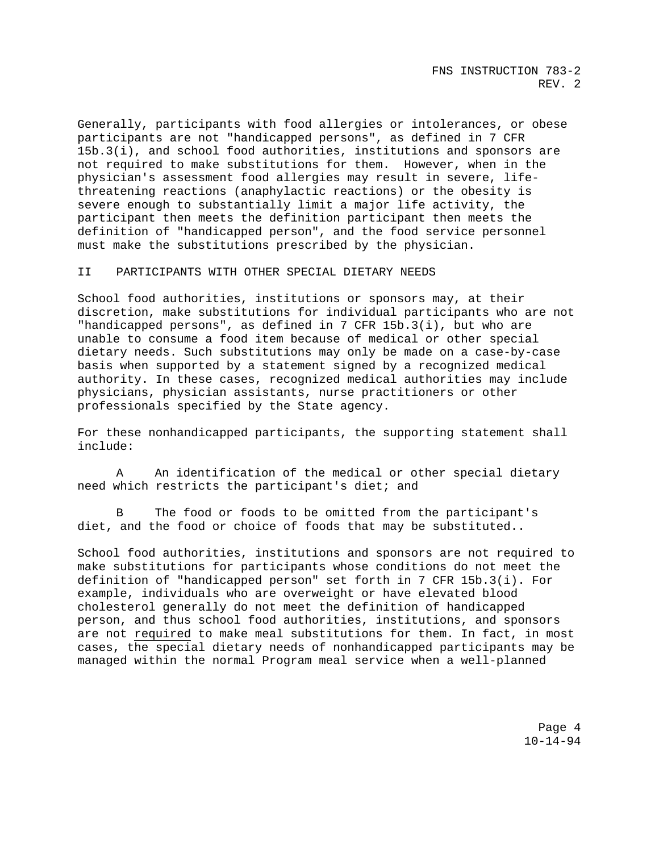FNS INSTRUCTION 783-2 REV. 2

Generally, participants with food allergies or intolerances, or obese participants are not "handicapped persons", as defined in 7 CFR 15b.3(i), and school food authorities, institutions and sponsors are not required to make substitutions for them. However, when in the physician's assessment food allergies may result in severe, lifethreatening reactions (anaphylactic reactions) or the obesity is severe enough to substantially limit a major life activity, the participant then meets the definition participant then meets the definition of "handicapped person", and the food service personnel must make the substitutions prescribed by the physician.

#### II PARTICIPANTS WITH OTHER SPECIAL DIETARY NEEDS

School food authorities, institutions or sponsors may, at their discretion, make substitutions for individual participants who are not "handicapped persons", as defined in 7 CFR 15b.3(i), but who are unable to consume a food item because of medical or other special dietary needs. Such substitutions may only be made on a case-by-case basis when supported by a statement signed by a recognized medical authority. In these cases, recognized medical authorities may include physicians, physician assistants, nurse practitioners or other professionals specified by the State agency.

For these nonhandicapped participants, the supporting statement shall include:

A An identification of the medical or other special dietary need which restricts the participant's diet; and

B The food or foods to be omitted from the participant's diet, and the food or choice of foods that may be substituted..

School food authorities, institutions and sponsors are not required to make substitutions for participants whose conditions do not meet the definition of "handicapped person" set forth in 7 CFR 15b.3(i). For example, individuals who are overweight or have elevated blood cholesterol generally do not meet the definition of handicapped person, and thus school food authorities, institutions, and sponsors are not required to make meal substitutions for them. In fact, in most cases, the special dietary needs of nonhandicapped participants may be managed within the normal Program meal service when a well-planned

> Page 4 10-14-94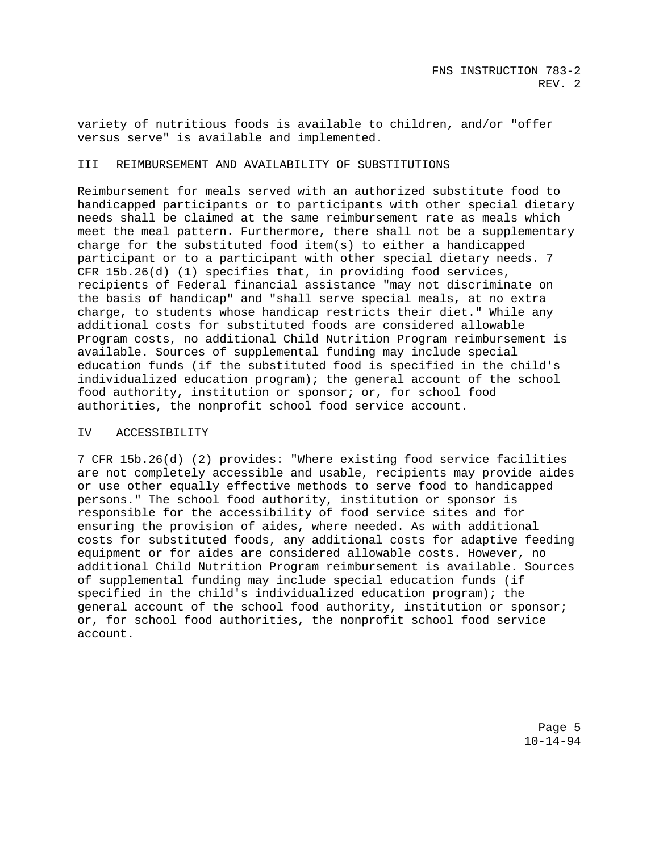variety of nutritious foods is available to children, and/or "offer versus serve" is available and implemented.

### III REIMBURSEMENT AND AVAILABILITY OF SUBSTITUTIONS

Reimbursement for meals served with an authorized substitute food to handicapped participants or to participants with other special dietary needs shall be claimed at the same reimbursement rate as meals which meet the meal pattern. Furthermore, there shall not be a supplementary charge for the substituted food item(s) to either a handicapped participant or to a participant with other special dietary needs. 7 CFR 15b.26(d) (1) specifies that, in providing food services, recipients of Federal financial assistance "may not discriminate on the basis of handicap" and "shall serve special meals, at no extra charge, to students whose handicap restricts their diet." While any additional costs for substituted foods are considered allowable Program costs, no additional Child Nutrition Program reimbursement is available. Sources of supplemental funding may include special education funds (if the substituted food is specified in the child's individualized education program); the general account of the school food authority, institution or sponsor; or, for school food authorities, the nonprofit school food service account.

#### IV ACCESSIBILITY

7 CFR 15b.26(d) (2) provides: "Where existing food service facilities are not completely accessible and usable, recipients may provide aides or use other equally effective methods to serve food to handicapped persons." The school food authority, institution or sponsor is responsible for the accessibility of food service sites and for ensuring the provision of aides, where needed. As with additional costs for substituted foods, any additional costs for adaptive feeding equipment or for aides are considered allowable costs. However, no additional Child Nutrition Program reimbursement is available. Sources of supplemental funding may include special education funds (if specified in the child's individualized education program); the general account of the school food authority, institution or sponsor; or, for school food authorities, the nonprofit school food service account.

> Page 5 10-14-94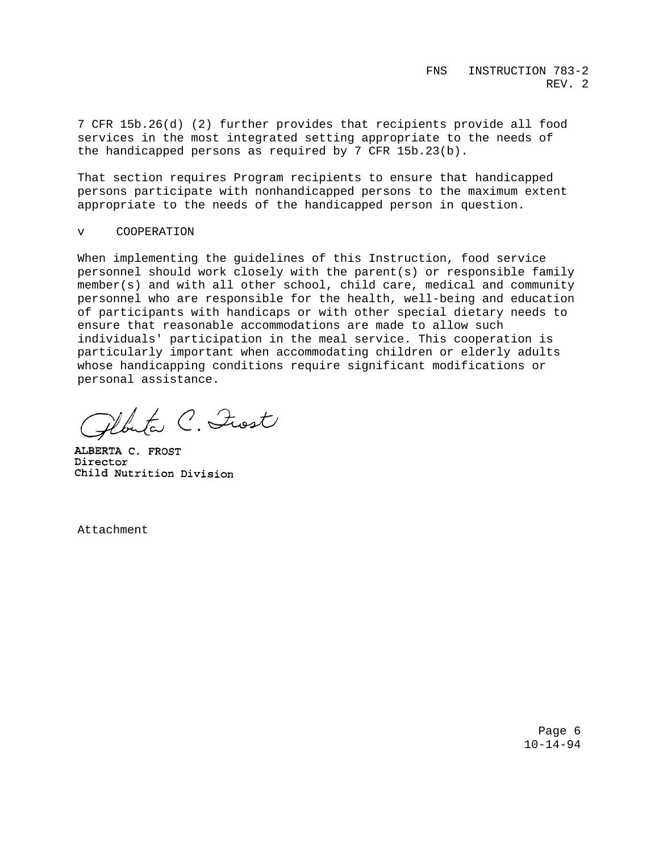7 CFR 15b.26(d) (2) further provides that recipients provide all food services in the most integrated setting appropriate to the needs of the handicapped persons as required by 7 CFR 15b.23(b).

That section requires Program recipients to ensure that handicapped persons participate with nonhandicapped persons to the maximum extent appropriate to the needs of the handicapped person in question.

## v COOPERATION

When implementing the guidelines of this Instruction, food service personnel should work closely with the parent(s) or responsible family member(s) and with all other school, child care, medical and community personnel who are responsible for the health, well-being and education of participants with handicaps or with other special dietary needs to ensure that reasonable accommodations are made to allow such individuals' participation in the meal service. This cooperation is particularly important when accommodating children or elderly adults whose handicapping conditions require significant modifications or personal assistance.

Abuta C. Inst

ALBERTA C. FROST Director Child Nutrition Division

Attachment

Page 6  $10 - 14 - 94$